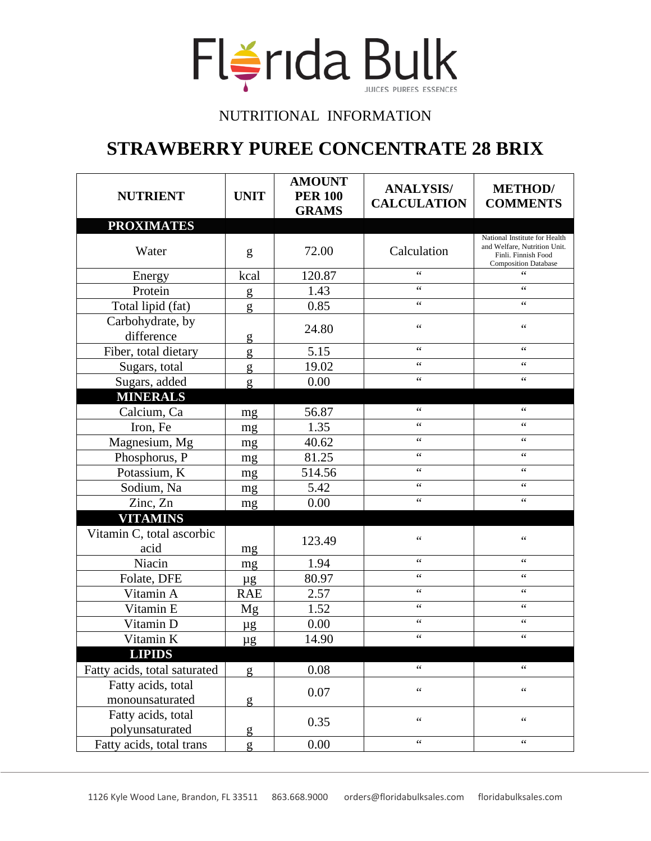

## NUTRITIONAL INFORMATION

## **STRAWBERRY PUREE CONCENTRATE 28 BRIX**

| <b>NUTRIENT</b>                       | <b>UNIT</b> | <b>AMOUNT</b><br><b>PER 100</b><br><b>GRAMS</b> | <b>ANALYSIS/</b><br><b>CALCULATION</b> | <b>METHOD</b> /<br><b>COMMENTS</b>                                                                                  |
|---------------------------------------|-------------|-------------------------------------------------|----------------------------------------|---------------------------------------------------------------------------------------------------------------------|
| <b>PROXIMATES</b>                     |             |                                                 |                                        |                                                                                                                     |
| Water                                 | g           | 72.00                                           | Calculation                            | National Institute for Health<br>and Welfare, Nutrition Unit.<br>Finli. Finnish Food<br><b>Composition Database</b> |
| Energy                                | kcal        | 120.87                                          | $\zeta$ $\zeta$                        | 66                                                                                                                  |
| Protein                               | g           | 1.43                                            | $\zeta$ $\zeta$                        | $\zeta$ $\zeta$                                                                                                     |
| Total lipid (fat)                     | g           | 0.85                                            | $\zeta \, \zeta$                       | $\epsilon$                                                                                                          |
| Carbohydrate, by<br>difference        | g           | 24.80                                           | $\zeta$ $\zeta$                        | $\zeta$ $\zeta$                                                                                                     |
| Fiber, total dietary                  | g           | 5.15                                            | $\zeta$ $\zeta$                        | $\epsilon$                                                                                                          |
| Sugars, total                         | g           | 19.02                                           | $\zeta$ $\zeta$                        | $\zeta$ $\zeta$                                                                                                     |
| Sugars, added                         | g           | 0.00                                            | $\zeta$ $\zeta$                        | $\epsilon$                                                                                                          |
| <b>MINERALS</b>                       |             |                                                 |                                        |                                                                                                                     |
| Calcium, Ca                           | mg          | 56.87                                           | $\zeta$ $\zeta$                        | $\zeta$ $\zeta$                                                                                                     |
| Iron, Fe                              | mg          | 1.35                                            | $\zeta$ $\zeta$                        | $\zeta$ $\zeta$                                                                                                     |
| Magnesium, Mg                         | mg          | 40.62                                           | $\zeta$ $\zeta$                        | $\epsilon$                                                                                                          |
| Phosphorus, P                         | mg          | 81.25                                           | $\zeta \, \zeta$                       | $\zeta$ $\zeta$                                                                                                     |
| Potassium, K                          | mg          | 514.56                                          | $\zeta \, \zeta$                       | $\zeta$ $\zeta$                                                                                                     |
| Sodium, Na                            | mg          | 5.42                                            | $\zeta$ $\zeta$                        | $\zeta$ $\zeta$                                                                                                     |
| Zinc, Zn                              | mg          | 0.00                                            | $\zeta$ $\zeta$                        | $\zeta$ $\zeta$                                                                                                     |
| <b>VITAMINS</b>                       |             |                                                 |                                        |                                                                                                                     |
| Vitamin C, total ascorbic<br>acid     | mg          | 123.49                                          | $\zeta$ $\zeta$                        | $\zeta$ $\zeta$                                                                                                     |
| Niacin                                | mg          | 1.94                                            | $\zeta$ $\zeta$                        | $\zeta$ $\zeta$                                                                                                     |
| Folate, DFE                           | $\mu$ g     | 80.97                                           | $\zeta$ $\zeta$                        | $\zeta$ $\zeta$                                                                                                     |
| Vitamin A                             | <b>RAE</b>  | 2.57                                            | $\zeta \, \zeta$                       | $\epsilon$                                                                                                          |
| Vitamin E                             | Mg          | 1.52                                            | $\zeta$ $\zeta$                        | $\zeta$ $\zeta$                                                                                                     |
| Vitamin D                             | $\mu$ g     | 0.00                                            | $\zeta$ $\zeta$                        | $\zeta$ $\zeta$                                                                                                     |
| Vitamin K                             | $\mu$ g     | 14.90                                           | $\zeta$ $\zeta$                        | $\zeta$ $\zeta$                                                                                                     |
| <b>LIPIDS</b>                         |             |                                                 |                                        |                                                                                                                     |
| Fatty acids, total saturated          | g           | 0.08                                            | $\zeta$ $\zeta$                        | $\epsilon$                                                                                                          |
| Fatty acids, total<br>monounsaturated | g           | 0.07                                            | $\zeta$ $\zeta$                        | $\zeta$ $\zeta$                                                                                                     |
| Fatty acids, total<br>polyunsaturated | g           | 0.35                                            | $\zeta$ $\zeta$                        | $\zeta$ $\zeta$                                                                                                     |
| Fatty acids, total trans              | g           | $0.00\,$                                        | $\zeta$ $\zeta$                        | $\zeta$ $\zeta$                                                                                                     |